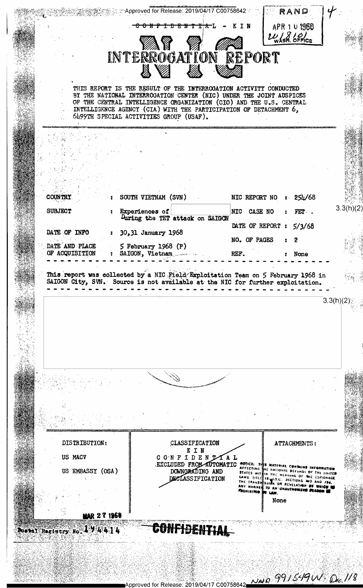